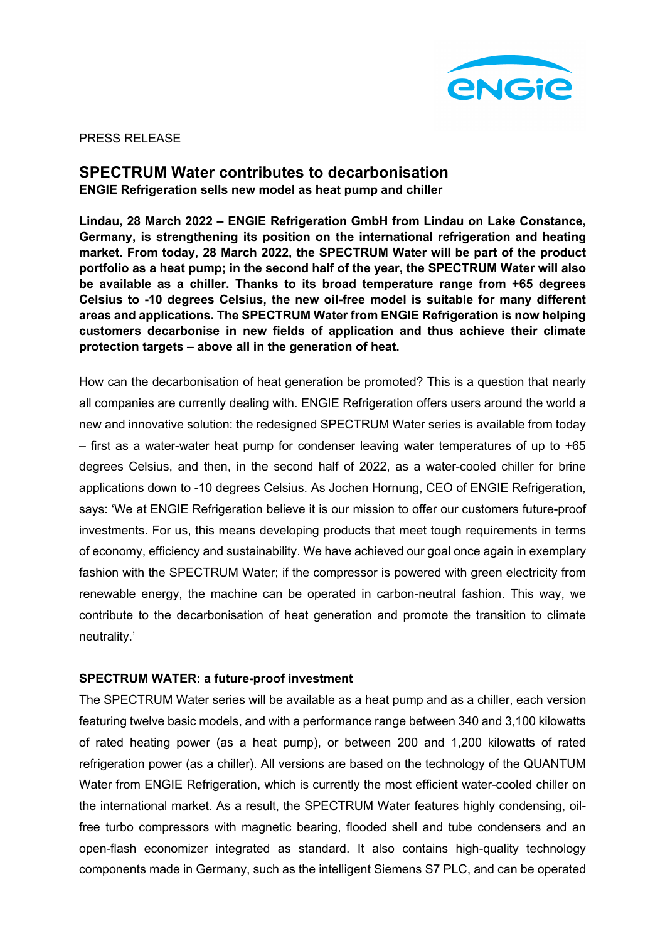

PRESS RELEASE

# **SPECTRUM Water contributes to decarbonisation ENGIE Refrigeration sells new model as heat pump and chiller**

**Lindau, 28 March 2022 – ENGIE Refrigeration GmbH from Lindau on Lake Constance, Germany, is strengthening its position on the international refrigeration and heating market. From today, 28 March 2022, the SPECTRUM Water will be part of the product portfolio as a heat pump; in the second half of the year, the SPECTRUM Water will also be available as a chiller. Thanks to its broad temperature range from +65 degrees Celsius to -10 degrees Celsius, the new oil-free model is suitable for many different areas and applications. The SPECTRUM Water from ENGIE Refrigeration is now helping customers decarbonise in new fields of application and thus achieve their climate protection targets – above all in the generation of heat.** 

How can the decarbonisation of heat generation be promoted? This is a question that nearly all companies are currently dealing with. ENGIE Refrigeration offers users around the world a new and innovative solution: the redesigned SPECTRUM Water series is available from today  $-$  first as a water-water heat pump for condenser leaving water temperatures of up to  $+65$ degrees Celsius, and then, in the second half of 2022, as a water-cooled chiller for brine applications down to -10 degrees Celsius. As Jochen Hornung, CEO of ENGIE Refrigeration, says: 'We at ENGIE Refrigeration believe it is our mission to offer our customers future-proof investments. For us, this means developing products that meet tough requirements in terms of economy, efficiency and sustainability. We have achieved our goal once again in exemplary fashion with the SPECTRUM Water; if the compressor is powered with green electricity from renewable energy, the machine can be operated in carbon-neutral fashion. This way, we contribute to the decarbonisation of heat generation and promote the transition to climate neutrality.'

## **SPECTRUM WATER: a future-proof investment**

The SPECTRUM Water series will be available as a heat pump and as a chiller, each version featuring twelve basic models, and with a performance range between 340 and 3,100 kilowatts of rated heating power (as a heat pump), or between 200 and 1,200 kilowatts of rated refrigeration power (as a chiller). All versions are based on the technology of the QUANTUM Water from ENGIE Refrigeration, which is currently the most efficient water-cooled chiller on the international market. As a result, the SPECTRUM Water features highly condensing, oilfree turbo compressors with magnetic bearing, flooded shell and tube condensers and an open-flash economizer integrated as standard. It also contains high-quality technology components made in Germany, such as the intelligent Siemens S7 PLC, and can be operated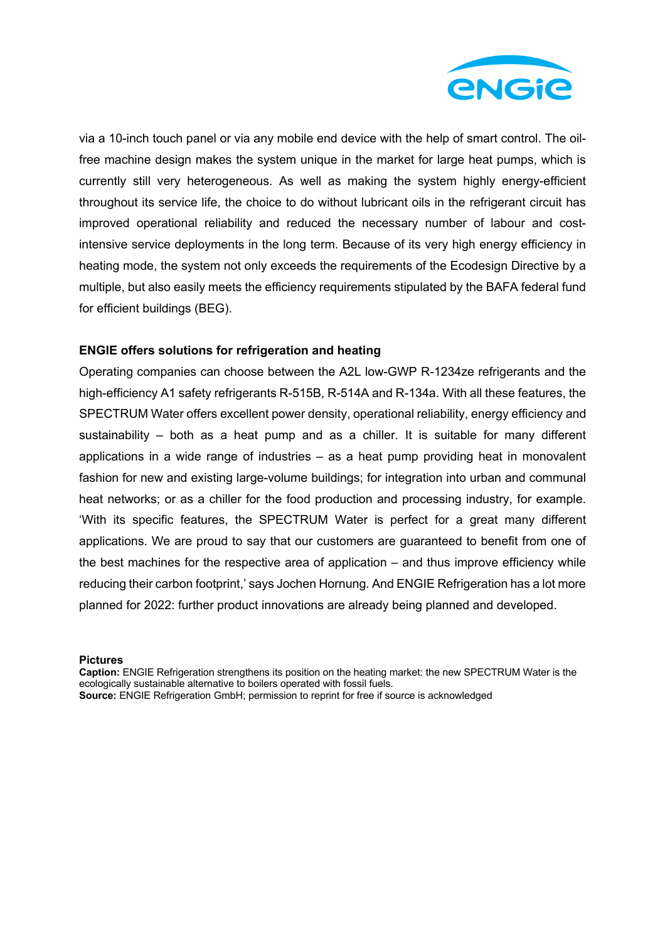

via a 10-inch touch panel or via any mobile end device with the help of smart control. The oilfree machine design makes the system unique in the market for large heat pumps, which is currently still very heterogeneous. As well as making the system highly energy-efficient throughout its service life, the choice to do without lubricant oils in the refrigerant circuit has improved operational reliability and reduced the necessary number of labour and costintensive service deployments in the long term. Because of its very high energy efficiency in heating mode, the system not only exceeds the requirements of the Ecodesign Directive by a multiple, but also easily meets the efficiency requirements stipulated by the BAFA federal fund for efficient buildings (BEG).

### **ENGIE offers solutions for refrigeration and heating**

Operating companies can choose between the A2L low-GWP R-1234ze refrigerants and the high-efficiency A1 safety refrigerants R-515B, R-514A and R-134a. With all these features, the SPECTRUM Water offers excellent power density, operational reliability, energy efficiency and sustainability – both as a heat pump and as a chiller. It is suitable for many different applications in a wide range of industries – as a heat pump providing heat in monovalent fashion for new and existing large-volume buildings; for integration into urban and communal heat networks; or as a chiller for the food production and processing industry, for example. 'With its specific features, the SPECTRUM Water is perfect for a great many different applications. We are proud to say that our customers are guaranteed to benefit from one of the best machines for the respective area of application – and thus improve efficiency while reducing their carbon footprint,' says Jochen Hornung. And ENGIE Refrigeration has a lot more planned for 2022: further product innovations are already being planned and developed.

**Pictures**

**Caption:** ENGIE Refrigeration strengthens its position on the heating market: the new SPECTRUM Water is the ecologically sustainable alternative to boilers operated with fossil fuels. **Source:** ENGIE Refrigeration GmbH; permission to reprint for free if source is acknowledged